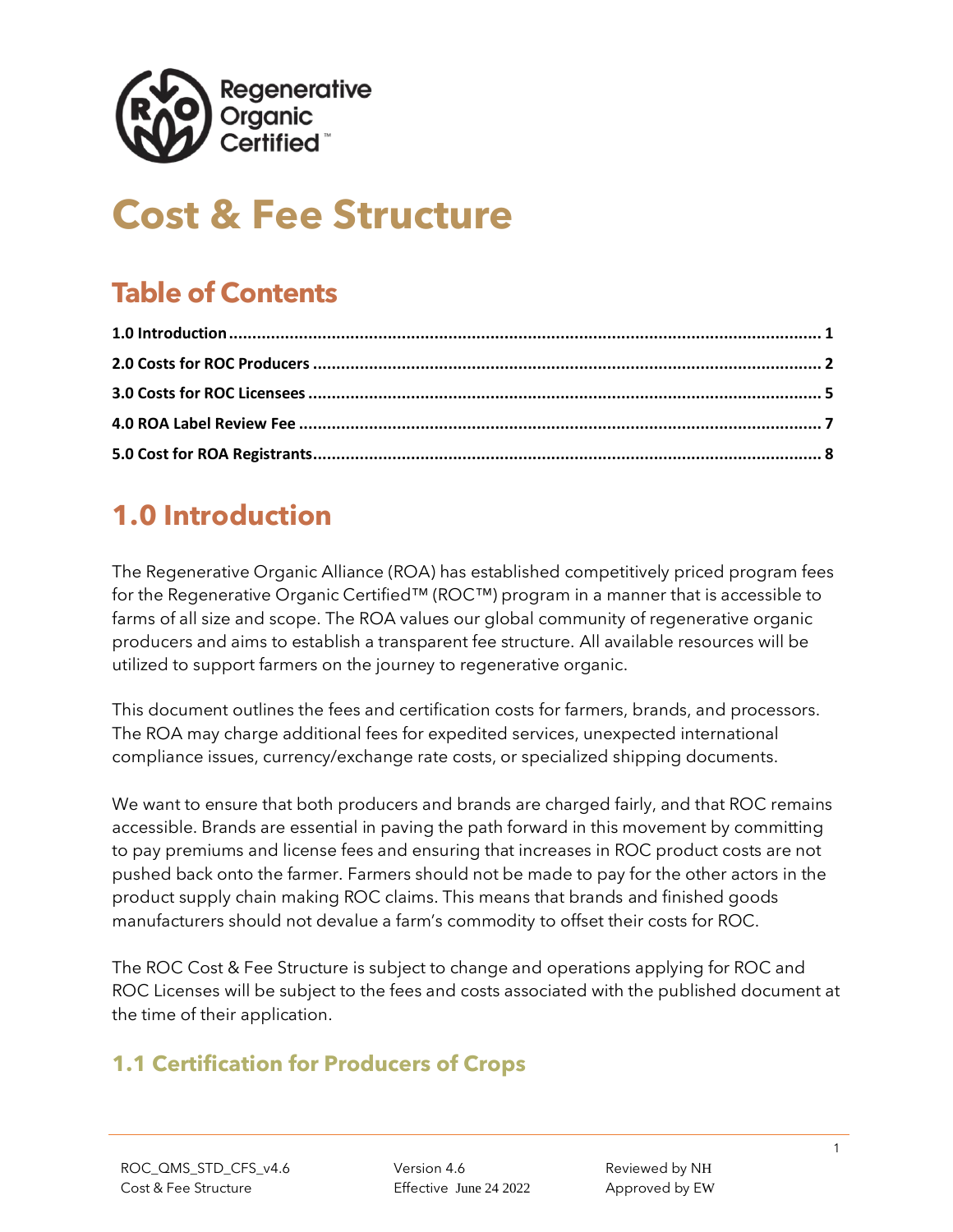

# **Cost & Fee Structure**

## **Table of Contents**

## <span id="page-0-0"></span>**1.0 Introduction**

The Regenerative Organic Alliance (ROA) has established competitively priced program fees for the Regenerative Organic Certified™ (ROC™) program in a manner that is accessible to farms of all size and scope. The ROA values our global community of regenerative organic producers and aims to establish a transparent fee structure. All available resources will be utilized to support farmers on the journey to regenerative organic.

This document outlines the fees and certification costs for farmers, brands, and processors. The ROA may charge additional fees for expedited services, unexpected international compliance issues, currency/exchange rate costs, or specialized shipping documents.

We want to ensure that both producers and brands are charged fairly, and that ROC remains accessible. Brands are essential in paving the path forward in this movement by committing to pay premiums and license fees and ensuring that increases in ROC product costs are not pushed back onto the farmer. Farmers should not be made to pay for the other actors in the product supply chain making ROC claims. This means that brands and finished goods manufacturers should not devalue a farm's commodity to offset their costs for ROC.

The ROC Cost & Fee Structure is subject to change and operations applying for ROC and ROC Licenses will be subject to the fees and costs associated with the published document at the time of their application.

### **1.1 Certification for Producers of Crops**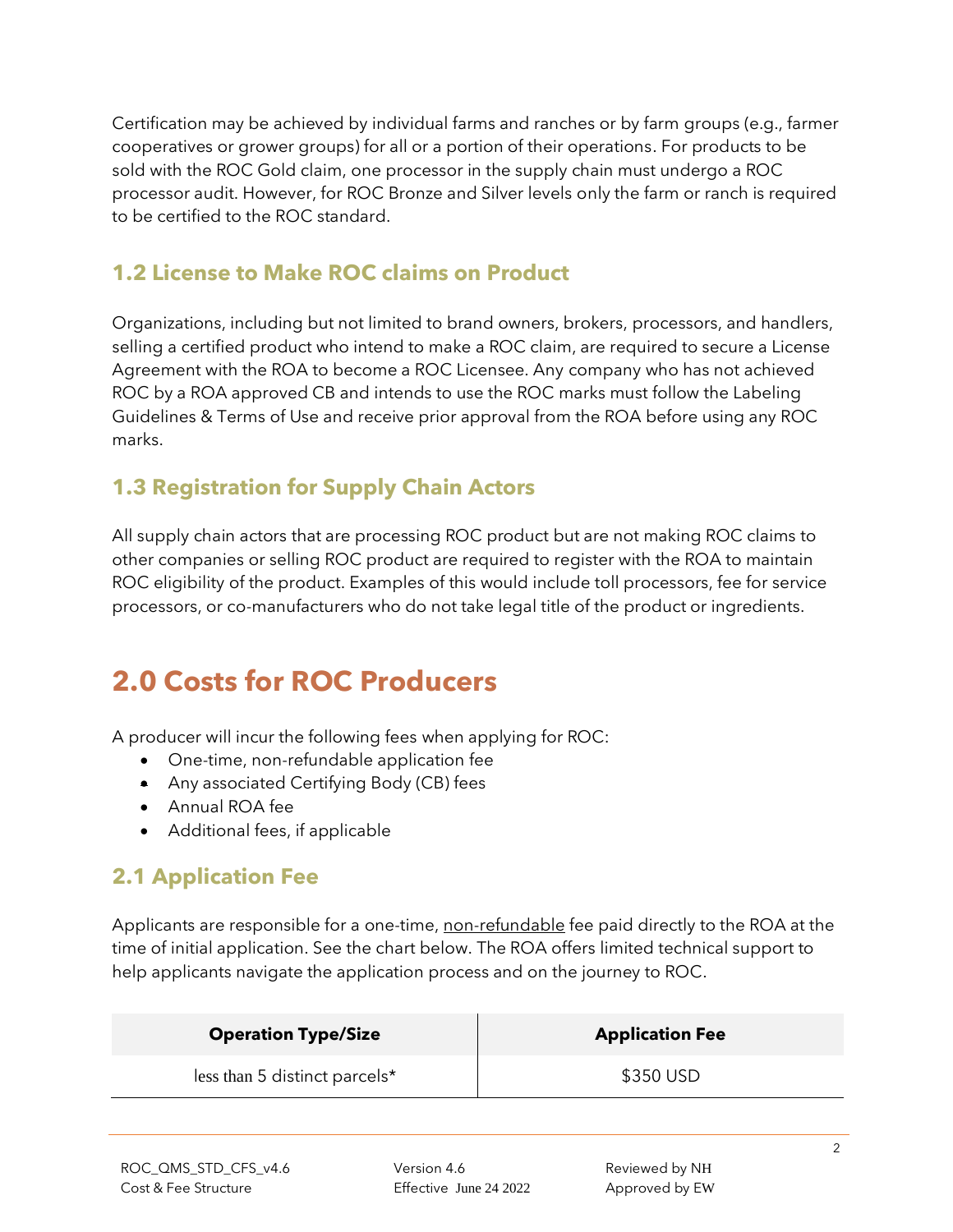Certification may be achieved by individual farms and ranches or by farm groups (e.g., farmer cooperatives or grower groups) for all or a portion of their operations. For products to be sold with the ROC Gold claim, one processor in the supply chain must undergo a ROC processor audit. However, for ROC Bronze and Silver levels only the farm or ranch is required to be certified to the ROC standard.

#### **1.2 License to Make ROC claims on Product**

Organizations, including but not limited to brand owners, brokers, processors, and handlers, selling a certified product who intend to make a ROC claim, are required to secure a License Agreement with the ROA to become a ROC Licensee. Any company who has not achieved ROC by a ROA approved CB and intends to use the ROC marks must follow the Labeling Guidelines & Terms of Use and receive prior approval from the ROA before using any ROC marks.

### **1.3 Registration for Supply Chain Actors**

All supply chain actors that are processing ROC product but are not making ROC claims to other companies or selling ROC product are required to register with the ROA to maintain ROC eligibility of the product. Examples of this would include toll processors, fee for service processors, or co-manufacturers who do not take legal title of the product or ingredients.

## <span id="page-1-0"></span>**2.0 Costs for ROC Producers**

A producer will incur the following fees when applying for ROC:

- One-time, non-refundable application fee
- Any associated Certifying Body (CB) fees
- Annual ROA fee
- Additional fees, if applicable

### **2.1 Application Fee**

Applicants are responsible for a one-time, non-refundable fee paid directly to the ROA at the time of initial application. See the chart below. The ROA offers limited technical support to help applicants navigate the application process and on the journey to ROC.

| <b>Operation Type/Size</b>       | <b>Application Fee</b> |
|----------------------------------|------------------------|
| less than 5 distinct parcels $*$ | \$350 USD              |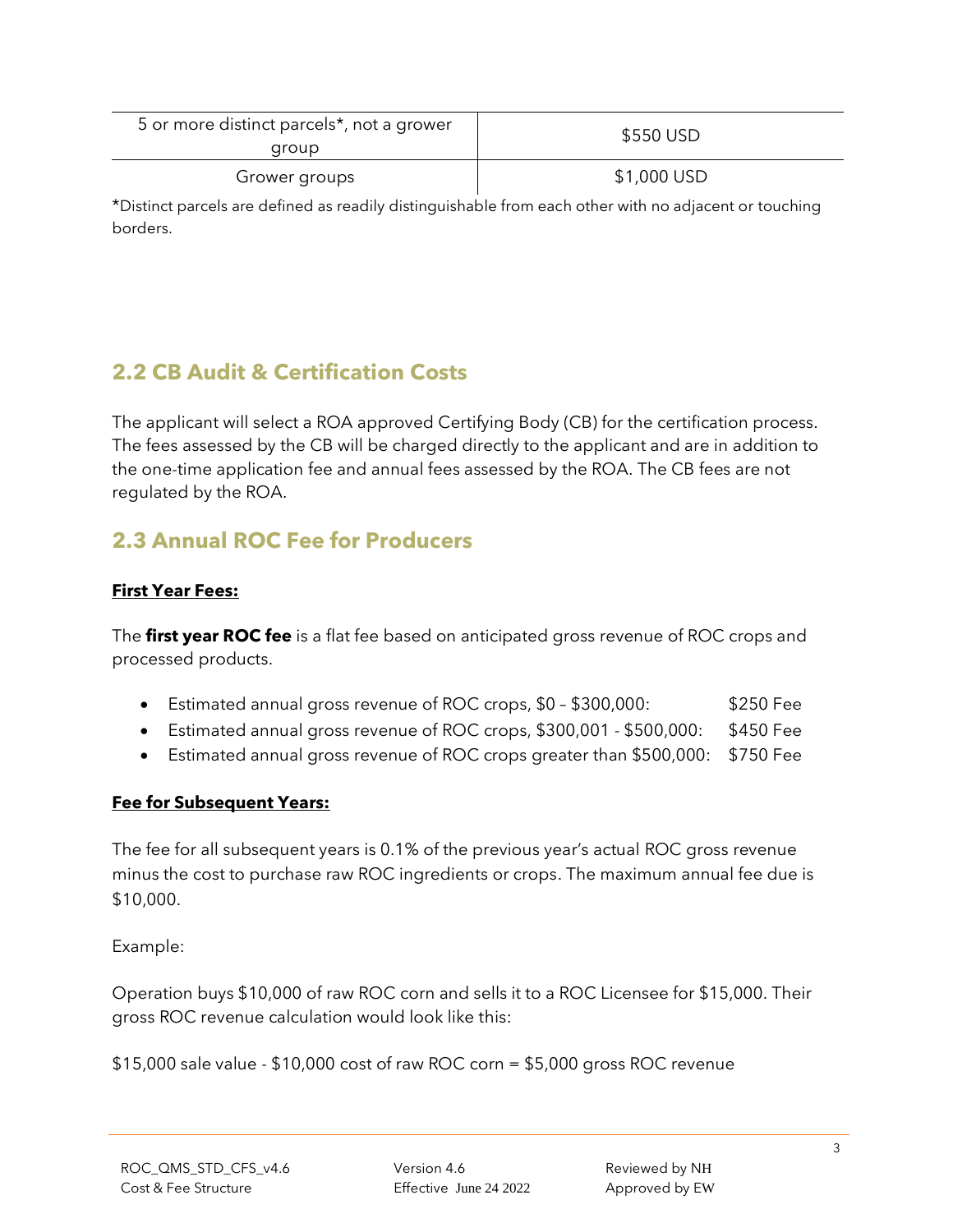| 5 or more distinct parcels <sup>*</sup> , not a grower<br>group | \$550 USD   |  |
|-----------------------------------------------------------------|-------------|--|
| Grower groups                                                   | \$1,000 USD |  |
| $\frac{1}{2}$                                                   | . .         |  |

\*Distinct parcels are defined as readily distinguishable from each other with no adjacent or touching borders.

### **2.2 CB Audit & Certification Costs**

The applicant will select a ROA approved Certifying Body (CB) for the certification process. The fees assessed by the CB will be charged directly to the applicant and are in addition to the one-time application fee and annual fees assessed by the ROA. The CB fees are not regulated by the ROA.

#### **2.3 Annual ROC Fee for Producers**

#### **First Year Fees:**

The **first year ROC fee** is a flat fee based on anticipated gross revenue of ROC crops and processed products.

- Estimated annual gross revenue of ROC crops, \$0 \$300,000: \$250 Fee
- Estimated annual gross revenue of ROC crops, \$300,001 \$500,000: \$450 Fee
- Estimated annual gross revenue of ROC crops greater than \$500,000: \$750 Fee

#### **Fee for Subsequent Years:**

The fee for all subsequent years is 0.1% of the previous year's actual ROC gross revenue minus the cost to purchase raw ROC ingredients or crops. The maximum annual fee due is \$10,000.

Example:

Operation buys \$10,000 of raw ROC corn and sells it to a ROC Licensee for \$15,000. Their gross ROC revenue calculation would look like this:

\$15,000 sale value - \$10,000 cost of raw ROC corn = \$5,000 gross ROC revenue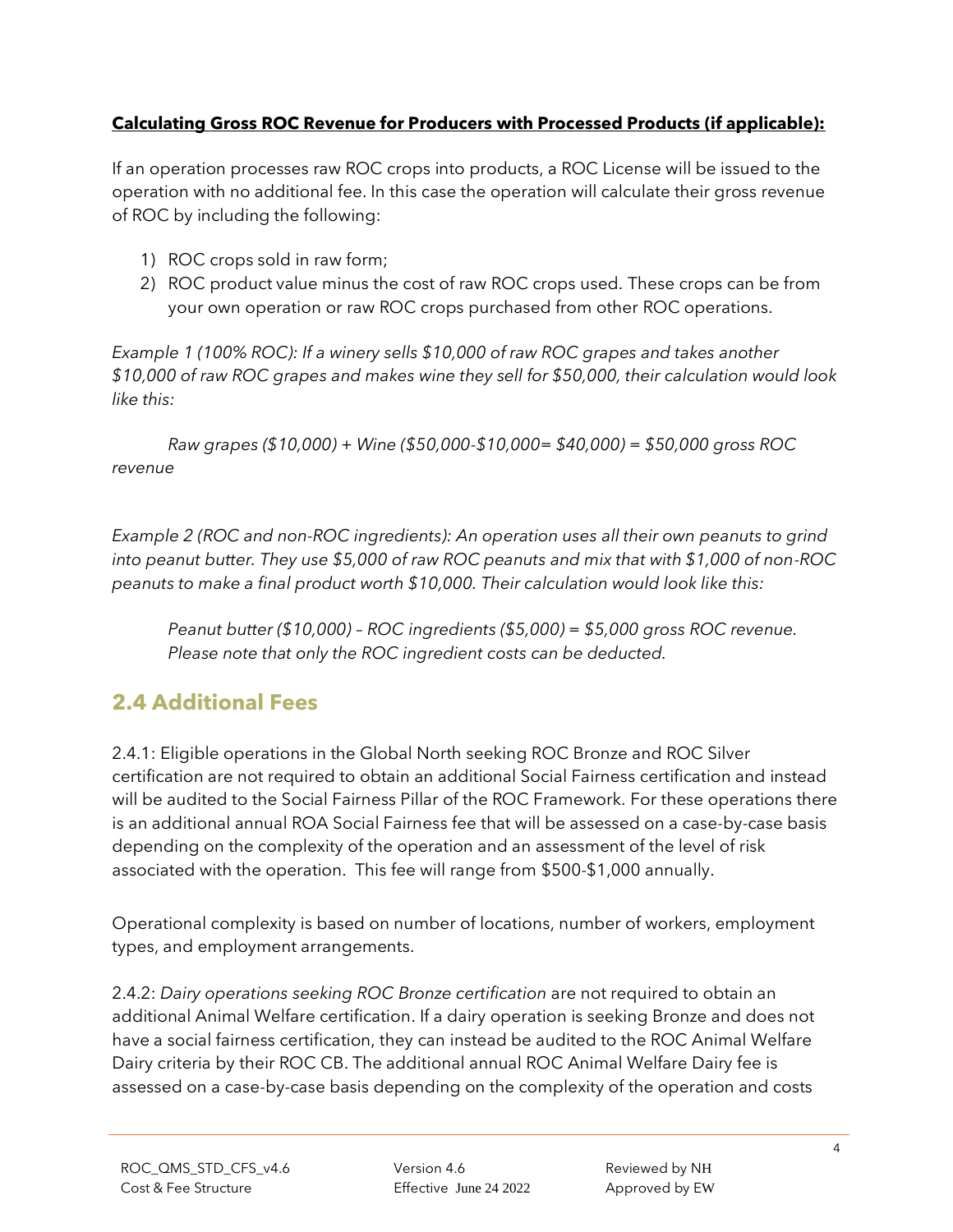#### **Calculating Gross ROC Revenue for Producers with Processed Products (if applicable):**

If an operation processes raw ROC crops into products, a ROC License will be issued to the operation with no additional fee. In this case the operation will calculate their gross revenue of ROC by including the following:

- 1) ROC crops sold in raw form;
- 2) ROC product value minus the cost of raw ROC crops used. These crops can be from your own operation or raw ROC crops purchased from other ROC operations.

*Example 1 (100% ROC): If a winery sells \$10,000 of raw ROC grapes and takes another \$10,000 of raw ROC grapes and makes wine they sell for \$50,000, their calculation would look like this:*

*Raw grapes (\$10,000) + Wine (\$50,000-\$10,000= \$40,000) = \$50,000 gross ROC revenue*

*Example 2 (ROC and non-ROC ingredients): An operation uses all their own peanuts to grind into peanut butter. They use \$5,000 of raw ROC peanuts and mix that with \$1,000 of non-ROC peanuts to make a final product worth \$10,000. Their calculation would look like this:*

*Peanut butter (\$10,000) – ROC ingredients (\$5,000) = \$5,000 gross ROC revenue. Please note that only the ROC ingredient costs can be deducted.*

#### **2.4 Additional Fees**

2.4.1: Eligible operations in the Global North seeking ROC Bronze and ROC Silver certification are not required to obtain an additional Social Fairness certification and instead will be audited to the Social Fairness Pillar of the ROC Framework. For these operations there is an additional annual ROA Social Fairness fee that will be assessed on a case-by-case basis depending on the complexity of the operation and an assessment of the level of risk associated with the operation. This fee will range from \$500-\$1,000 annually.

Operational complexity is based on number of locations, number of workers, employment types, and employment arrangements.

2.4.2: *Dairy operations seeking ROC Bronze certification* are not required to obtain an additional Animal Welfare certification. If a dairy operation is seeking Bronze and does not have a social fairness certification, they can instead be audited to the ROC Animal Welfare Dairy criteria by their ROC CB. The additional annual ROC Animal Welfare Dairy fee is assessed on a case-by-case basis depending on the complexity of the operation and costs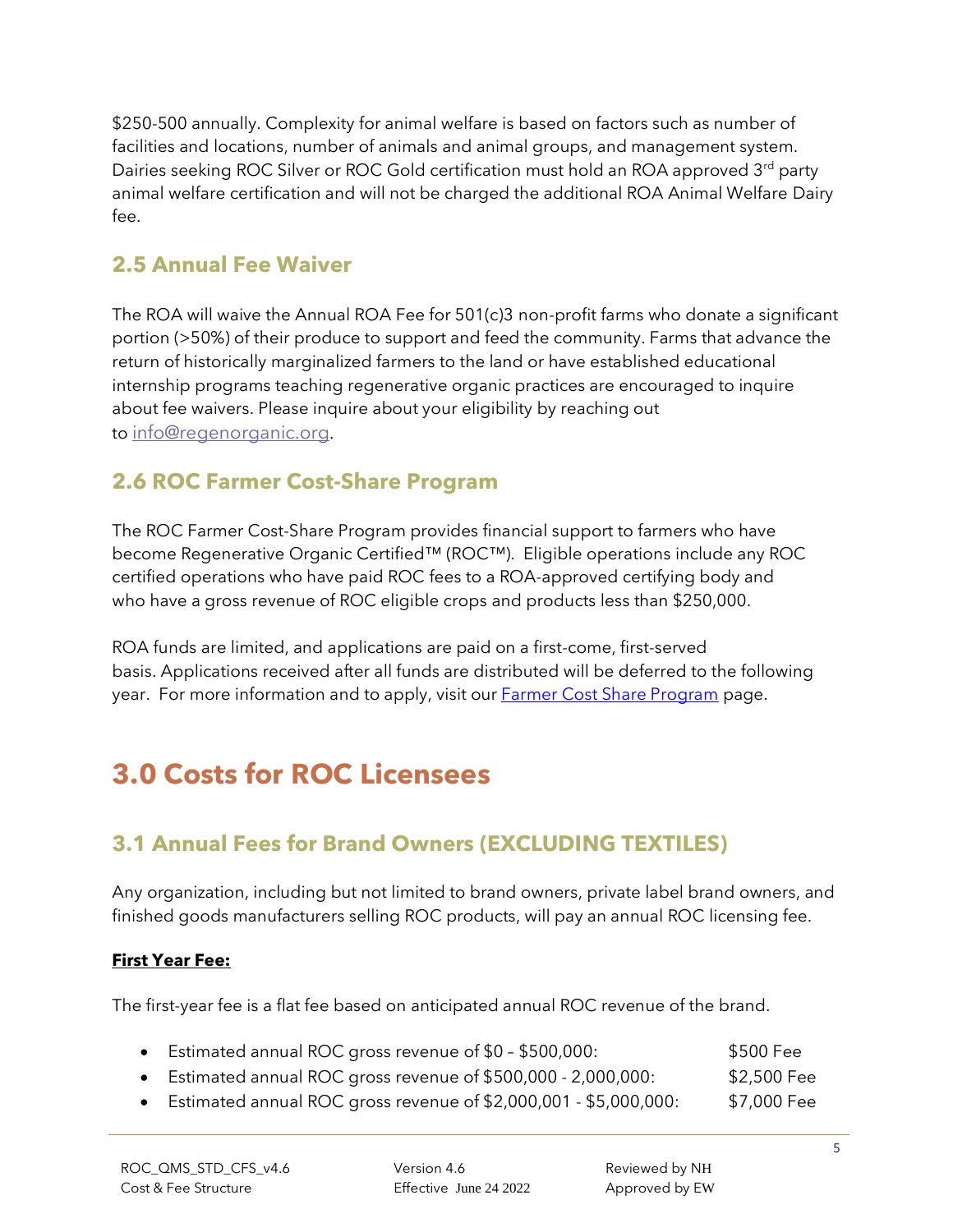\$250-500 annually. Complexity for animal welfare is based on factors such as number of facilities and locations, number of animals and animal groups, and management system. Dairies seeking ROC Silver or ROC Gold certification must hold an ROA approved 3<sup>rd</sup> party animal welfare certification and will not be charged the additional ROA Animal Welfare Dairy fee.

### **2.5 Annual Fee Waiver**

The ROA will waive the Annual ROA Fee for 501(c)3 non-profit farms who donate a significant portion (>50%) of their produce to support and feed the community. Farms that advance the return of historically marginalized farmers to the land or have established educational internship programs teaching regenerative organic practices are encouraged to inquire about fee waivers. Please inquire about your eligibility by reaching out to [info@regenorganic.org](mailto:info@regenorganic.org).

### **2.6 ROC Farmer Cost-Share Program**

The ROC Farmer Cost-Share Program provides financial support to farmers who have become Regenerative Organic Certified™ (ROC™). Eligible operations include any ROC certified operations who have paid ROC fees to a ROA-approved certifying body and who have a gross revenue of ROC eligible crops and products less than \$250,000.

ROA funds are limited, and applications are paid on a first-come, first-served basis. Applications received after all funds are distributed will be deferred to the following year. For more information and to apply, visit our **Farmer Cost Share Program** page.

## <span id="page-4-0"></span>**3.0 Costs for ROC Licensees**

### **3.1 Annual Fees for Brand Owners (EXCLUDING TEXTILES)**

Any organization, including but not limited to brand owners, private label brand owners, and finished goods manufacturers selling ROC products, will pay an annual ROC licensing fee.

#### **First Year Fee:**

The first-year fee is a flat fee based on anticipated annual ROC revenue of the brand.

| • Estimated annual ROC gross revenue of \$0 - \$500,000:       | \$500 Fee   |
|----------------------------------------------------------------|-------------|
| • Estimated annual ROC gross revenue of \$500,000 - 2,000,000: | \$2,500 Fee |
|                                                                | $\cdots$    |

• Estimated annual ROC gross revenue of \$2,000,001 - \$5,000,000: \$7,000 Fee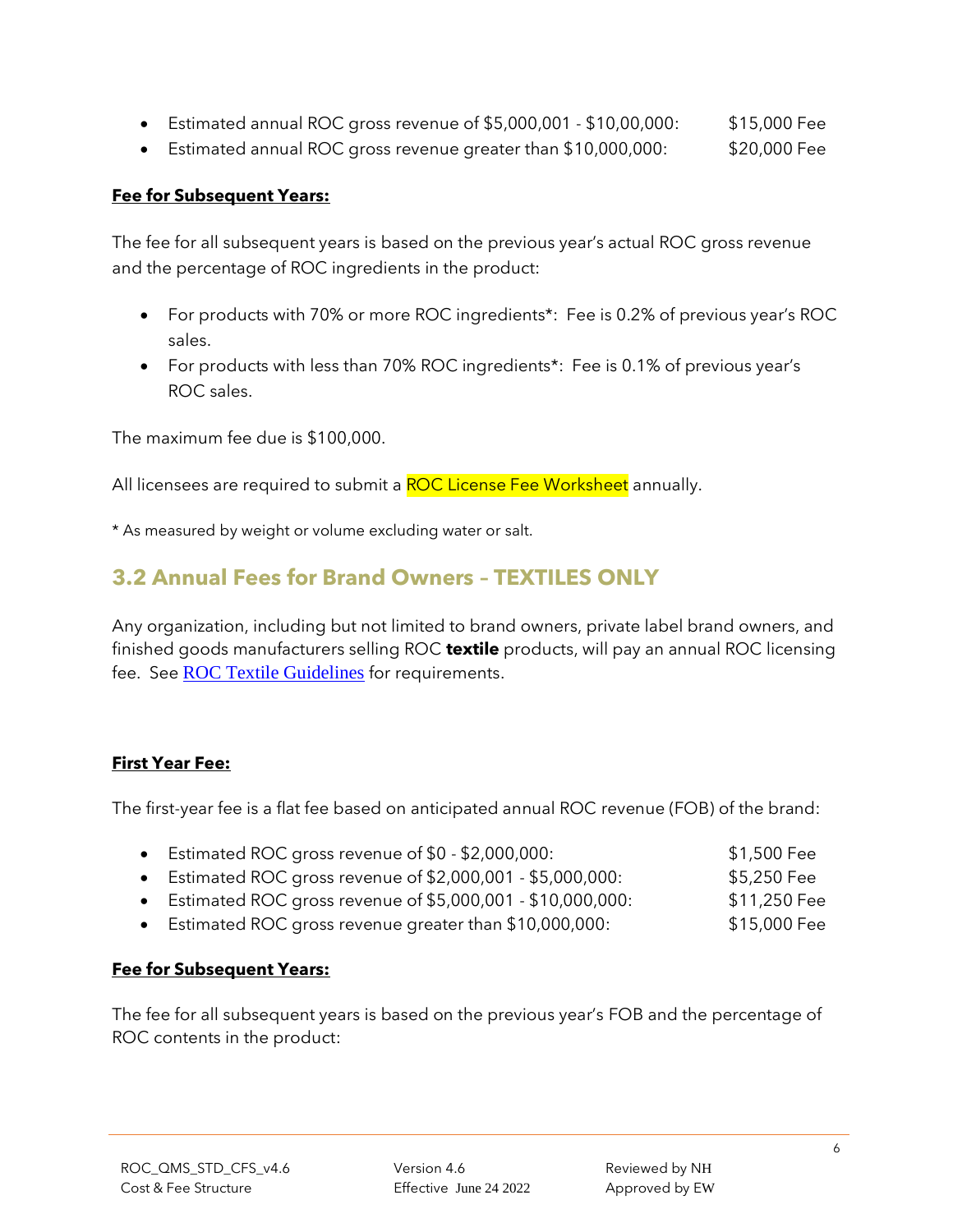- Estimated annual ROC gross revenue of \$5,000,001 \$10,00,000: \$15,000 Fee
- Estimated annual ROC gross revenue greater than \$10,000,000: \$20,000 Fee

#### **Fee for Subsequent Years:**

The fee for all subsequent years is based on the previous year's actual ROC gross revenue and the percentage of ROC ingredients in the product:

- For products with 70% or more ROC ingredients\*: Fee is 0.2% of previous year's ROC sales.
- For products with less than 70% ROC ingredients\*: Fee is 0.1% of previous year's ROC sales.

The maximum fee due is \$100,000.

All licensees are required to submit a ROC License Fee Worksheet annually.

\* As measured by weight or volume excluding water or salt.

#### **3.2 Annual Fees for Brand Owners – TEXTILES ONLY**

Any organization, including but not limited to brand owners, private label brand owners, and finished goods manufacturers selling ROC **textile** products, will pay an annual ROC licensing fee. See **[ROC Textile Guidelines](https://regenorganic.org/wp-content/uploads/2022/06/ROC_Textile_Guidelines_v1.pdf)** for requirements.

#### **First Year Fee:**

The first-year fee is a flat fee based on anticipated annual ROC revenue (FOB) of the brand:

| • Estimated ROC gross revenue of \$0 - \$2,000,000:          | \$1,500 Fee  |
|--------------------------------------------------------------|--------------|
| • Estimated ROC gross revenue of \$2,000,001 - \$5,000,000:  | \$5,250 Fee  |
| • Estimated ROC gross revenue of \$5,000,001 - \$10,000,000: | \$11,250 Fee |
| • Estimated ROC gross revenue greater than \$10,000,000:     | \$15,000 Fee |

#### **Fee for Subsequent Years:**

The fee for all subsequent years is based on the previous year's FOB and the percentage of ROC contents in the product: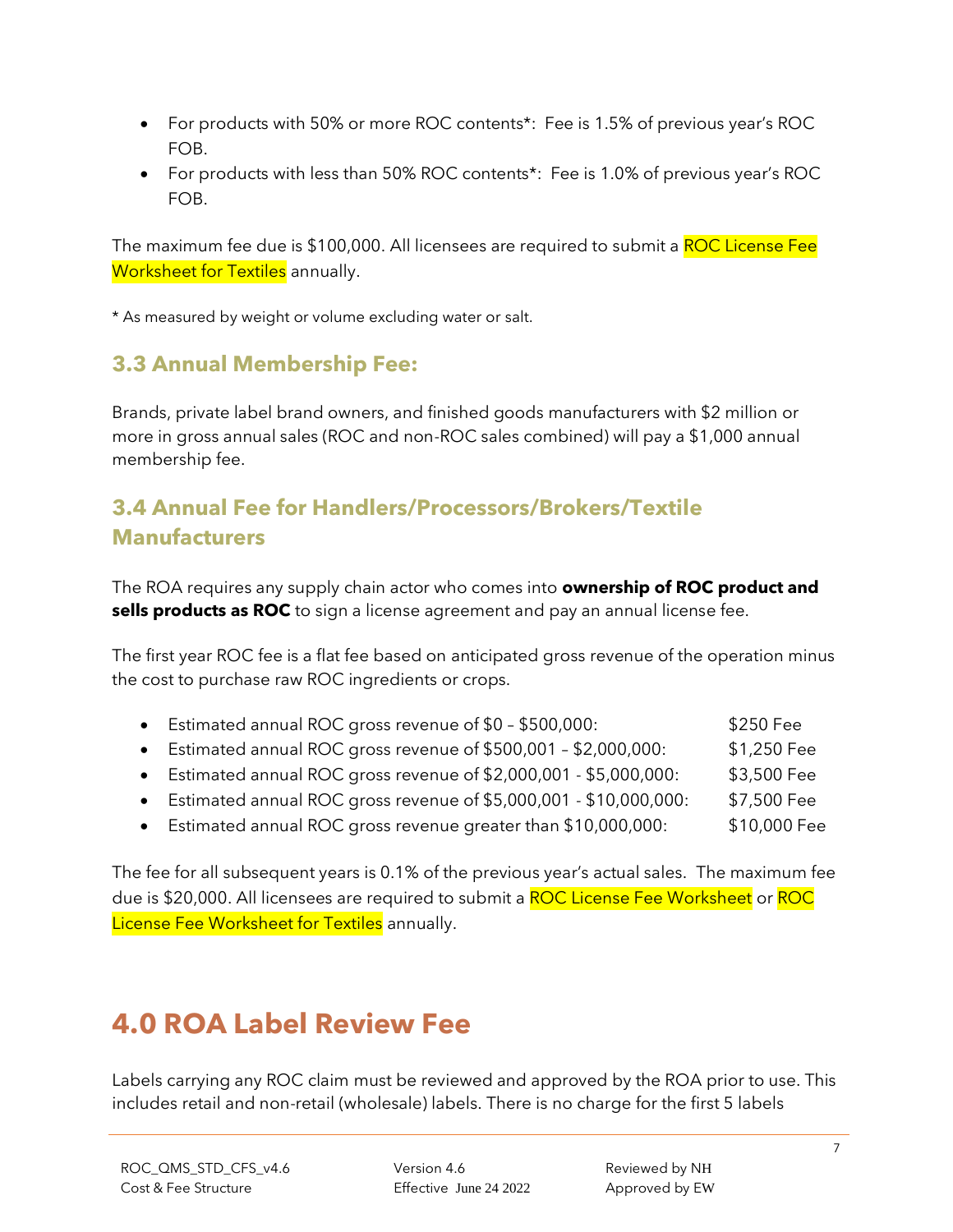- For products with 50% or more ROC contents\*: Fee is 1.5% of previous year's ROC FOB.
- For products with less than 50% ROC contents\*: Fee is 1.0% of previous year's ROC FOB.

The maximum fee due is \$100,000. All licensees are required to submit a ROC License Fee Worksheet for Textiles annually.

\* As measured by weight or volume excluding water or salt.

#### **3.3 Annual Membership Fee:**

Brands, private label brand owners, and finished goods manufacturers with \$2 million or more in gross annual sales (ROC and non-ROC sales combined) will pay a \$1,000 annual membership fee.

### **3.4 Annual Fee for Handlers/Processors/Brokers/Textile Manufacturers**

The ROA requires any supply chain actor who comes into **ownership of ROC product and sells products as ROC** to sign a license agreement and pay an annual license fee.

The first year ROC fee is a flat fee based on anticipated gross revenue of the operation minus the cost to purchase raw ROC ingredients or crops.

| • Estimated annual ROC gross revenue of \$0 - \$500,000:            | \$250 Fee    |
|---------------------------------------------------------------------|--------------|
| • Estimated annual ROC gross revenue of \$500,001 - \$2,000,000:    | \$1,250 Fee  |
| • Estimated annual ROC gross revenue of \$2,000,001 - \$5,000,000:  | \$3,500 Fee  |
| • Estimated annual ROC gross revenue of \$5,000,001 - \$10,000,000: | \$7,500 Fee  |
| • Estimated annual ROC gross revenue greater than \$10,000,000:     | \$10,000 Fee |

The fee for all subsequent years is 0.1% of the previous year's actual sales. The maximum fee due is \$20,000. All licensees are required to submit a ROC License Fee Worksheet or ROC License Fee Worksheet for Textiles annually.

## <span id="page-6-0"></span>**4.0 ROA Label Review Fee**

Labels carrying any ROC claim must be reviewed and approved by the ROA prior to use. This includes retail and non-retail (wholesale) labels. There is no charge for the first 5 labels